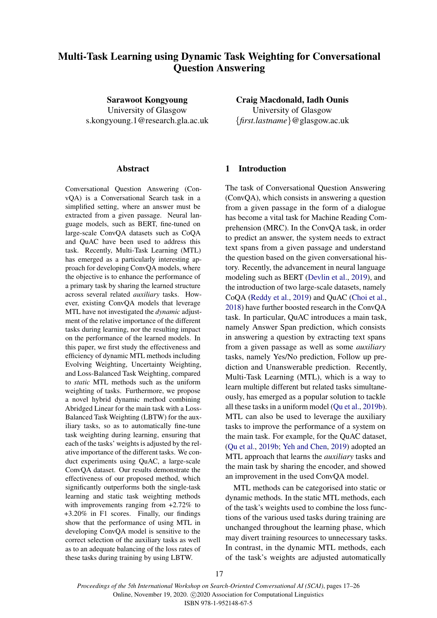# <span id="page-0-0"></span>Multi-Task Learning using Dynamic Task Weighting for Conversational Question Answering

Sarawoot Kongyoung University of Glasgow s.kongyoung.1@research.gla.ac.uk

### Abstract

Conversational Question Answering (ConvQA) is a Conversational Search task in a simplified setting, where an answer must be extracted from a given passage. Neural language models, such as BERT, fine-tuned on large-scale ConvQA datasets such as CoQA and QuAC have been used to address this task. Recently, Multi-Task Learning (MTL) has emerged as a particularly interesting approach for developing ConvQA models, where the objective is to enhance the performance of a primary task by sharing the learned structure across several related *auxiliary* tasks. However, existing ConvQA models that leverage MTL have not investigated the *dynamic* adjustment of the relative importance of the different tasks during learning, nor the resulting impact on the performance of the learned models. In this paper, we first study the effectiveness and efficiency of dynamic MTL methods including Evolving Weighting, Uncertainty Weighting, and Loss-Balanced Task Weighting, compared to *static* MTL methods such as the uniform weighting of tasks. Furthermore, we propose a novel hybrid dynamic method combining Abridged Linear for the main task with a Loss-Balanced Task Weighting (LBTW) for the auxiliary tasks, so as to automatically fine-tune task weighting during learning, ensuring that each of the tasks' weights is adjusted by the relative importance of the different tasks. We conduct experiments using QuAC, a large-scale ConvQA dataset. Our results demonstrate the effectiveness of our proposed method, which significantly outperforms both the single-task learning and static task weighting methods with improvements ranging from  $+2.72\%$  to +3.20% in F1 scores. Finally, our findings show that the performance of using MTL in developing ConvQA model is sensitive to the correct selection of the auxiliary tasks as well as to an adequate balancing of the loss rates of these tasks during training by using LBTW.

Craig Macdonald, Iadh Ounis University of Glasgow {*first.lastname*}@glasgow.ac.uk

# 1 Introduction

The task of Conversational Question Answering (ConvQA), which consists in answering a question from a given passage in the form of a dialogue has become a vital task for Machine Reading Comprehension (MRC). In the ConvQA task, in order to predict an answer, the system needs to extract text spans from a given passage and understand the question based on the given conversational history. Recently, the advancement in neural language modeling such as BERT [\(Devlin et al.,](#page-8-0) [2019\)](#page-8-0), and the introduction of two large-scale datasets, namely CoQA [\(Reddy et al.,](#page-8-1) [2019\)](#page-8-1) and QuAC [\(Choi et al.,](#page-8-2) [2018\)](#page-8-2) have further boosted research in the ConvQA task. In particular, QuAC introduces a main task, namely Answer Span prediction, which consists in answering a question by extracting text spans from a given passage as well as some *auxiliary* tasks, namely Yes/No prediction, Follow up prediction and Unanswerable prediction. Recently, Multi-Task Learning (MTL), which is a way to learn multiple different but related tasks simultaneously, has emerged as a popular solution to tackle all these tasks in a uniform model [\(Qu et al.,](#page-8-3) [2019b\)](#page-8-3). MTL can also be used to leverage the auxiliary tasks to improve the performance of a system on the main task. For example, for the QuAC dataset, [\(Qu et al.,](#page-8-3) [2019b;](#page-8-3) [Yeh and Chen,](#page-9-0) [2019\)](#page-9-0) adopted an MTL approach that learns the *auxiliary* tasks and the main task by sharing the encoder, and showed an improvement in the used ConvQA model.

MTL methods can be categorised into static or dynamic methods. In the static MTL methods, each of the task's weights used to combine the loss functions of the various used tasks during training are unchanged throughout the learning phase, which may divert training resources to unnecessary tasks. In contrast, in the dynamic MTL methods, each of the task's weights are adjusted automatically

17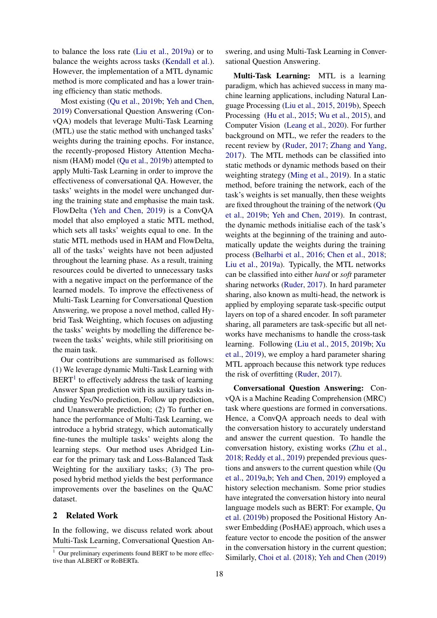to balance the loss rate [\(Liu et al.,](#page-8-4) [2019a\)](#page-8-4) or to balance the weights across tasks [\(Kendall et al.\)](#page-8-5). However, the implementation of a MTL dynamic method is more complicated and has a lower training efficiency than static methods.

Most existing [\(Qu et al.,](#page-8-3) [2019b;](#page-8-3) [Yeh and Chen,](#page-9-0) [2019\)](#page-9-0) Conversational Question Answering (ConvQA) models that leverage Multi-Task Learning (MTL) use the static method with unchanged tasks' weights during the training epochs. For instance, the recently-proposed History Attention Mechanism (HAM) model [\(Qu et al.,](#page-8-3) [2019b\)](#page-8-3) attempted to apply Multi-Task Learning in order to improve the effectiveness of conversational QA. However, the tasks' weights in the model were unchanged during the training state and emphasise the main task. FlowDelta [\(Yeh and Chen,](#page-9-0) [2019\)](#page-9-0) is a ConvQA model that also employed a static MTL method, which sets all tasks' weights equal to one. In the static MTL methods used in HAM and FlowDelta, all of the tasks' weights have not been adjusted throughout the learning phase. As a result, training resources could be diverted to unnecessary tasks with a negative impact on the performance of the learned models. To improve the effectiveness of Multi-Task Learning for Conversational Question Answering, we propose a novel method, called Hybrid Task Weighting, which focuses on adjusting the tasks' weights by modelling the difference between the tasks' weights, while still prioritising on the main task.

Our contributions are summarised as follows: (1) We leverage dynamic Multi-Task Learning with  $BERT<sup>1</sup>$  $BERT<sup>1</sup>$  $BERT<sup>1</sup>$  to effectively address the task of learning Answer Span prediction with its auxiliary tasks including Yes/No prediction, Follow up prediction, and Unanswerable prediction; (2) To further enhance the performance of Multi-Task Learning, we introduce a hybrid strategy, which automatically fine-tunes the multiple tasks' weights along the learning steps. Our method uses Abridged Linear for the primary task and Loss-Balanced Task Weighting for the auxiliary tasks; (3) The proposed hybrid method yields the best performance improvements over the baselines on the QuAC dataset.

#### 2 Related Work

In the following, we discuss related work about Multi-Task Learning, Conversational Question Answering, and using Multi-Task Learning in Conversational Question Answering.

Multi-Task Learning: MTL is a learning paradigm, which has achieved success in many machine learning applications, including Natural Language Processing [\(Liu et al.,](#page-8-6) [2015,](#page-8-6) [2019b\)](#page-8-7), Speech Processing [\(Hu et al.,](#page-8-8) [2015;](#page-8-8) [Wu et al.,](#page-9-1) [2015\)](#page-9-1), and Computer Vision [\(Leang et al.,](#page-8-9) [2020\)](#page-8-9). For further background on MTL, we refer the readers to the recent review by [\(Ruder,](#page-9-2) [2017;](#page-9-2) [Zhang and Yang,](#page-9-3) [2017\)](#page-9-3). The MTL methods can be classified into static methods or dynamic methods based on their weighting strategy [\(Ming et al.,](#page-8-10) [2019\)](#page-8-10). In a static method, before training the network, each of the task's weights is set manually, then these weights are fixed throughout the training of the network [\(Qu](#page-8-3) [et al.,](#page-8-3) [2019b;](#page-8-3) [Yeh and Chen,](#page-9-0) [2019\)](#page-9-0). In contrast, the dynamic methods initialise each of the task's weights at the beginning of the training and automatically update the weights during the training process [\(Belharbi et al.,](#page-8-11) [2016;](#page-8-11) [Chen et al.,](#page-8-12) [2018;](#page-8-12) [Liu et al.,](#page-8-4) [2019a\)](#page-8-4). Typically, the MTL networks can be classified into either *hard* or *soft* parameter sharing networks [\(Ruder,](#page-9-2) [2017\)](#page-9-2). In hard parameter sharing, also known as multi-head, the network is applied by employing separate task-specific output layers on top of a shared encoder. In soft parameter sharing, all parameters are task-specific but all networks have mechanisms to handle the cross-task learning. Following [\(Liu et al.,](#page-8-6) [2015,](#page-8-6) [2019b;](#page-8-7) [Xu](#page-9-4) [et al.,](#page-9-4) [2019\)](#page-9-4), we employ a hard parameter sharing MTL approach because this network type reduces the risk of overfitting [\(Ruder,](#page-9-2) [2017\)](#page-9-2).

Conversational Question Answering: ConvQA is a Machine Reading Comprehension (MRC) task where questions are formed in conversations. Hence, a ConvQA approach needs to deal with the conversation history to accurately understand and answer the current question. To handle the conversation history, existing works [\(Zhu et al.,](#page-9-5) [2018;](#page-9-5) [Reddy et al.,](#page-8-1) [2019\)](#page-8-1) prepended previous questions and answers to the current question while [\(Qu](#page-8-13) [et al.,](#page-8-13) [2019a,](#page-8-13)[b;](#page-8-3) [Yeh and Chen,](#page-9-0) [2019\)](#page-9-0) employed a history selection mechanism. Some prior studies have integrated the conversation history into neural language models such as BERT: For example, [Qu](#page-8-3) [et al.](#page-8-3) [\(2019b\)](#page-8-3) proposed the Positional History Answer Embedding (PosHAE) approach, which uses a feature vector to encode the position of the answer in the conversation history in the current question; Similarly, [Choi et al.](#page-8-2) [\(2018\)](#page-8-2); [Yeh and Chen](#page-9-0) [\(2019\)](#page-9-0)

<sup>&</sup>lt;sup>1</sup> Our preliminary experiments found BERT to be more effective than ALBERT or RoBERTa.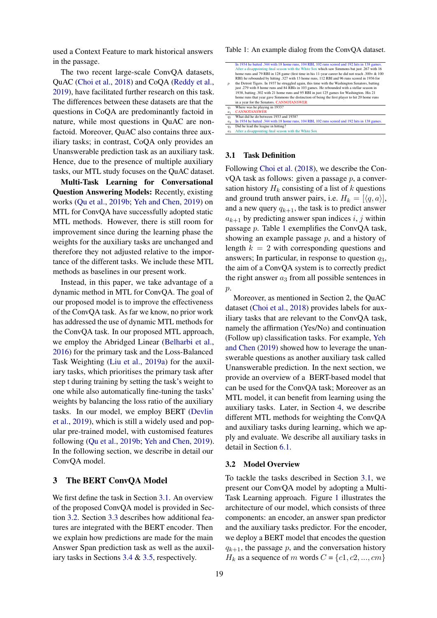used a Context Feature to mark historical answers in the passage.

The two recent large-scale ConvQA datasets, QuAC [\(Choi et al.,](#page-8-2) [2018\)](#page-8-2) and CoQA [\(Reddy et al.,](#page-8-1) [2019\)](#page-8-1), have facilitated further research on this task. The differences between these datasets are that the questions in CoQA are predominantly factoid in nature, while most questions in QuAC are nonfactoid. Moreover, QuAC also contains three auxiliary tasks; in contrast, CoQA only provides an Unanswerable prediction task as an auxiliary task. Hence, due to the presence of multiple auxiliary tasks, our MTL study focuses on the QuAC dataset.

Multi-Task Learning for Conversational Question Answering Models: Recently, existing works [\(Qu et al.,](#page-8-3) [2019b;](#page-8-3) [Yeh and Chen,](#page-9-0) [2019\)](#page-9-0) on MTL for ConvQA have successfully adopted static MTL methods. However, there is still room for improvement since during the learning phase the weights for the auxiliary tasks are unchanged and therefore they not adjusted relative to the importance of the different tasks. We include these MTL methods as baselines in our present work.

Instead, in this paper, we take advantage of a dynamic method in MTL for ConvQA. The goal of our proposed model is to improve the effectiveness of the ConvQA task. As far we know, no prior work has addressed the use of dynamic MTL methods for the ConvQA task. In our proposed MTL approach, we employ the Abridged Linear [\(Belharbi et al.,](#page-8-11) [2016\)](#page-8-11) for the primary task and the Loss-Balanced Task Weighting [\(Liu et al.,](#page-8-4) [2019a\)](#page-8-4) for the auxiliary tasks, which prioritises the primary task after step t during training by setting the task's weight to one while also automatically fine-tuning the tasks' weights by balancing the loss ratio of the auxiliary tasks. In our model, we employ BERT [\(Devlin](#page-8-0) [et al.,](#page-8-0) [2019\)](#page-8-0), which is still a widely used and popular pre-trained model, with customised features following [\(Qu et al.,](#page-8-3) [2019b;](#page-8-3) [Yeh and Chen,](#page-9-0) [2019\)](#page-9-0). In the following section, we describe in detail our ConvQA model.

# 3 The BERT ConvQA Model

We first define the task in Section [3.1.](#page-2-0) An overview of the proposed ConvQA model is provided in Section [3.2.](#page-2-1) Section [3.3](#page-3-0) describes how additional features are integrated with the BERT encoder. Then we explain how predictions are made for the main Answer Span prediction task as well as the auxiliary tasks in Sections [3.4](#page-3-1) & [3.5,](#page-3-2) respectively.

<span id="page-2-2"></span>Table 1: An example dialog from the ConvQA dataset.

|                  | In 1934 he batted .344 with 18 home runs, 104 RBI, 102 runs scored and 192 hits in 138 games.<br>After a disappointing final season with the White Sox which saw Simmons bat just .267 with 16 |
|------------------|------------------------------------------------------------------------------------------------------------------------------------------------------------------------------------------------|
|                  |                                                                                                                                                                                                |
|                  | home runs and 79 RBI in 128 game (first time in his 11-year career he did not reach .300+ & 100                                                                                                |
|                  | RBI) he rebounded by hitting .327 with 13 home runs, 112 RBI and 96 runs scored in 1936 for                                                                                                    |
| $\boldsymbol{p}$ | the Detroit Tigers. In 1937 he struggled again, this time with the Washington Senators, batting                                                                                                |
|                  | just .279 with 8 home runs and 84 RBIs in 103 games. He rebounded with a stellar season in                                                                                                     |
|                  | 1938, batting .302 with 21 home runs and 95 RBI in just 125 games for Washington. His 21                                                                                                       |
|                  | home runs that year gave Simmons the distinction of being the first player to hit 20 home runs                                                                                                 |
|                  | in a year for the Senators. CANNOTANSWER                                                                                                                                                       |
| $q_1$            | Where was he playing in 1933?                                                                                                                                                                  |
| a <sub>1</sub>   | <b>CANNOTANSWER</b>                                                                                                                                                                            |
| $q_2$            | What did he do between 1933 and 1938?                                                                                                                                                          |
| a <sub>2</sub>   | In 1934 he batted .344 with 18 home runs, 104 RBI, 102 runs scored and 192 hits in 138 games.                                                                                                  |
|                  |                                                                                                                                                                                                |

 $q_3$  Did he lead the league in hitting?<br> $q_3$  After a disappointing final season with the White Sox

#### <span id="page-2-0"></span>3.1 Task Definition

Following [Choi et al.](#page-8-2) [\(2018\)](#page-8-2), we describe the ConvQA task as follows: given a passage  $p$ , a conversation history  $H_k$  consisting of a list of k questions and ground truth answer pairs, i.e.  $H_k = [\langle q, a \rangle]$ , and a new query  $q_{k+1}$ , the task is to predict answer  $a_{k+1}$  by predicting answer span indices i, j within passage p. Table [1](#page-2-2) exemplifies the ConvQA task, showing an example passage  $p$ , and a history of length  $k = 2$  with corresponding questions and answers; In particular, in response to question  $q_3$ , the aim of a ConvQA system is to correctly predict the right answer  $a_3$  from all possible sentences in p.

Moreover, as mentioned in Section 2, the QuAC dataset [\(Choi et al.,](#page-8-2) [2018\)](#page-8-2) provides labels for auxiliary tasks that are relevant to the ConvQA task, namely the affirmation (Yes/No) and continuation (Follow up) classification tasks. For example, [Yeh](#page-9-0) [and Chen](#page-9-0) [\(2019\)](#page-9-0) showed how to leverage the unanswerable questions as another auxiliary task called Unanswerable prediction. In the next section, we provide an overview of a BERT-based model that can be used for the ConvQA task; Moreover as an MTL model, it can benefit from learning using the auxiliary tasks. Later, in Section [4,](#page-3-3) we describe different MTL methods for weighting the ConvQA and auxiliary tasks during learning, which we apply and evaluate. We describe all auxiliary tasks in detail in Section [6.1.](#page-5-0)

#### <span id="page-2-1"></span>3.2 Model Overview

To tackle the tasks described in Section [3.1,](#page-2-0) we present our ConvQA model by adopting a Multi-Task Learning approach. Figure [1](#page-3-4) illustrates the architecture of our model, which consists of three components: an encoder, an answer span predictor and the auxiliary tasks predictor. For the encoder, we deploy a BERT model that encodes the question  $q_{k+1}$ , the passage p, and the conversation history  $H_k$  as a sequence of m words  $C = \{c1, c2, ..., cm\}$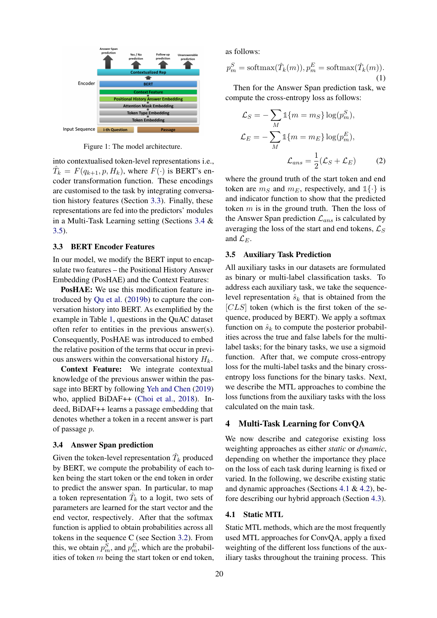<span id="page-3-4"></span>

Figure 1: The model architecture.

into contextualised token-level representations i.e.,  $\hat{T}_k = F(q_{k+1}, p, H_k)$ , where  $F(\cdot)$  is BERT's encoder transformation function. These encodings are customised to the task by integrating conversation history features (Section [3.3\)](#page-3-0). Finally, these representations are fed into the predictors' modules in a Multi-Task Learning setting (Sections [3.4](#page-3-1) & [3.5\)](#page-3-2).

#### <span id="page-3-0"></span>3.3 BERT Encoder Features

In our model, we modify the BERT input to encapsulate two features – the Positional History Answer Embedding (PosHAE) and the Context Features:

PosHAE: We use this modification feature introduced by [Qu et al.](#page-8-3) [\(2019b\)](#page-8-3) to capture the conversation history into BERT. As exemplified by the example in Table [1,](#page-2-2) questions in the QuAC dataset often refer to entities in the previous answer(s). Consequently, PosHAE was introduced to embed the relative position of the terms that occur in previous answers within the conversational history  $H_k$ .

Context Feature: We integrate contextual knowledge of the previous answer within the passage into BERT by following [Yeh and Chen](#page-9-0) [\(2019\)](#page-9-0) who, applied BiDAF++ [\(Choi et al.,](#page-8-2) [2018\)](#page-8-2). Indeed, BiDAF++ learns a passage embedding that denotes whether a token in a recent answer is part of passage p.

#### <span id="page-3-1"></span>3.4 Answer Span prediction

Given the token-level representation  $\hat{T}_k$  produced by BERT, we compute the probability of each token being the start token or the end token in order to predict the answer span. In particular, to map a token representation  $\hat{T}_k$  to a logit, two sets of parameters are learned for the start vector and the end vector, respectively. After that the softmax function is applied to obtain probabilities across all tokens in the sequence C (see Section [3.2\)](#page-2-1). From this, we obtain  $p_m^S$ , and  $p_m^E$ , which are the probabilities of token  $m$  being the start token or end token,

as follows:

$$
p_m^S = \text{softmax}(\hat{T}_k(m)), p_m^E = \text{softmax}(\hat{T}_k(m)).
$$
\n(1)

Then for the Answer Span prediction task, we compute the cross-entropy loss as follows:

$$
\mathcal{L}_S = -\sum_M \mathbb{1}\{m = m_S\} \log(p_m^S),
$$
  

$$
\mathcal{L}_E = -\sum_M \mathbb{1}\{m = m_E\} \log(p_m^E),
$$
  

$$
\mathcal{L}_{ans} = \frac{1}{2}(\mathcal{L}_S + \mathcal{L}_E)
$$
 (2)

where the ground truth of the start token and end token are  $m<sub>S</sub>$  and  $m<sub>E</sub>$ , respectively, and  $\mathbb{1}\{\cdot\}$  is and indicator function to show that the predicted token  $m$  is in the ground truth. Then the loss of the Answer Span prediction  $\mathcal{L}_{ans}$  is calculated by averaging the loss of the start and end tokens,  $\mathcal{L}_S$ and  $\mathcal{L}_E$ .

### <span id="page-3-2"></span>3.5 Auxiliary Task Prediction

All auxiliary tasks in our datasets are formulated as binary or multi-label classification tasks. To address each auxiliary task, we take the sequencelevel representation  $\hat{s}_k$  that is obtained from the  $[CLS]$  token (which is the first token of the sequence, produced by BERT). We apply a softmax function on  $\hat{s}_k$  to compute the posterior probabilities across the true and false labels for the multilabel tasks; for the binary tasks, we use a sigmoid function. After that, we compute cross-entropy loss for the multi-label tasks and the binary crossentropy loss functions for the binary tasks. Next, we describe the MTL approaches to combine the loss functions from the auxiliary tasks with the loss calculated on the main task.

#### <span id="page-3-3"></span>4 Multi-Task Learning for ConvQA

We now describe and categorise existing loss weighting approaches as either *static* or *dynamic*, depending on whether the importance they place on the loss of each task during learning is fixed or varied. In the following, we describe existing static and dynamic approaches (Sections [4.1](#page-3-5) & [4.2\)](#page-4-0), before describing our hybrid approach (Section [4.3\)](#page-5-1).

#### <span id="page-3-5"></span>4.1 Static MTL

Static MTL methods, which are the most frequently used MTL approaches for ConvQA, apply a fixed weighting of the different loss functions of the auxiliary tasks throughout the training process. This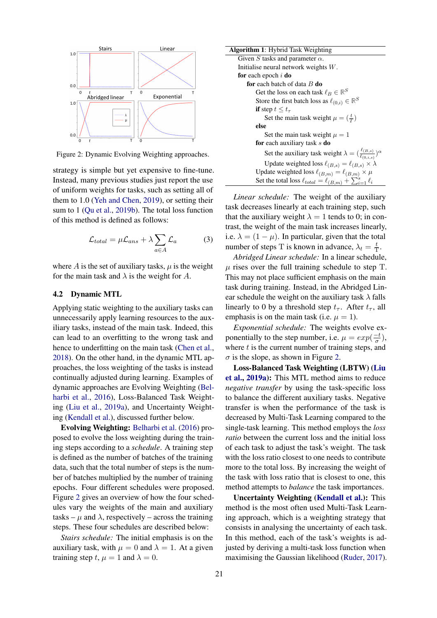<span id="page-4-1"></span>

Figure 2: Dynamic Evolving Weighting approaches.

strategy is simple but yet expensive to fine-tune. Instead, many previous studies just report the use of uniform weights for tasks, such as setting all of them to 1.0 [\(Yeh and Chen,](#page-9-0) [2019\)](#page-9-0), or setting their sum to 1 [\(Qu et al.,](#page-8-3) [2019b\)](#page-8-3). The total loss function of this method is defined as follows:

$$
\mathcal{L}_{total} = \mu \mathcal{L}_{ans} + \lambda \sum_{a \in A} \mathcal{L}_a \tag{3}
$$

where A is the set of auxiliary tasks,  $\mu$  is the weight for the main task and  $\lambda$  is the weight for A.

#### <span id="page-4-0"></span>4.2 Dynamic MTL

Applying static weighting to the auxiliary tasks can unnecessarily apply learning resources to the auxiliary tasks, instead of the main task. Indeed, this can lead to an overfitting to the wrong task and hence to underfitting on the main task [\(Chen et al.,](#page-8-12) [2018\)](#page-8-12). On the other hand, in the dynamic MTL approaches, the loss weighting of the tasks is instead continually adjusted during learning. Examples of dynamic approaches are Evolving Weighting [\(Bel](#page-8-11)[harbi et al.,](#page-8-11) [2016\)](#page-8-11), Loss-Balanced Task Weighting [\(Liu et al.,](#page-8-4) [2019a\)](#page-8-4), and Uncertainty Weighting [\(Kendall et al.\)](#page-8-5), discussed further below.

Evolving Weighting: [Belharbi et al.](#page-8-11) [\(2016\)](#page-8-11) proposed to evolve the loss weighting during the training steps according to a *schedule*. A training step is defined as the number of batches of the training data, such that the total number of steps is the number of batches multiplied by the number of training epochs. Four different schedules were proposed. Figure [2](#page-4-1) gives an overview of how the four schedules vary the weights of the main and auxiliary tasks –  $\mu$  and  $\lambda$ , respectively – across the training steps. These four schedules are described below:

*Stairs schedule:* The initial emphasis is on the auxiliary task, with  $\mu = 0$  and  $\lambda = 1$ . At a given training step t,  $\mu = 1$  and  $\lambda = 0$ .

| <b>Algorithm 1:</b> Hybrid Task Weighting                                                |  |  |  |  |  |
|------------------------------------------------------------------------------------------|--|--|--|--|--|
| Given S tasks and parameter $\alpha$ .                                                   |  |  |  |  |  |
| Initialise neural network weights $W$ .                                                  |  |  |  |  |  |
| <b>for</b> each epoch $i$ <b>do</b>                                                      |  |  |  |  |  |
| <b>for</b> each batch of data $B$ <b>do</b>                                              |  |  |  |  |  |
| Get the loss on each task $\ell_B \in \mathbb{R}^S$                                      |  |  |  |  |  |
| Store the first batch loss as $\ell_{(0,i)} \in \mathbb{R}^S$                            |  |  |  |  |  |
| <b>if</b> step $t \leq t_\tau$                                                           |  |  |  |  |  |
| Set the main task weight $\mu = \left(\frac{t}{T}\right)$                                |  |  |  |  |  |
| else                                                                                     |  |  |  |  |  |
| Set the main task weight $\mu = 1$                                                       |  |  |  |  |  |
| for each auxiliary task s do                                                             |  |  |  |  |  |
| Set the auxiliary task weight $\lambda = (\frac{\ell_{(B,s)}}{\ell_{(0,s,s)}})^{\alpha}$ |  |  |  |  |  |
| Update weighted loss $\ell_{(B,s)} = \ell_{(B,s)} \times \lambda$                        |  |  |  |  |  |
| Update weighted loss $\ell_{(B,m)} = \ell_{(B,m)} \times \mu$                            |  |  |  |  |  |
| Set the total loss $\ell_{total} = \ell_{(B,m)} + \sum_{i=1}^{s} \ell_i$                 |  |  |  |  |  |

*Linear schedule:* The weight of the auxiliary task decreases linearly at each training step, such that the auxiliary weight  $\lambda = 1$  tends to 0; in contrast, the weight of the main task increases linearly, i.e.  $\lambda = (1 - \mu)$ . In particular, given that the total number of steps T is known in advance,  $\lambda_t = \frac{t}{1}$  $rac{t}{\mathrm{T}}$ .

*Abridged Linear schedule:* In a linear schedule,  $\mu$  rises over the full training schedule to step T. This may not place sufficient emphasis on the main task during training. Instead, in the Abridged Linear schedule the weight on the auxiliary task  $\lambda$  falls linearly to 0 by a threshold step  $t_{\tau}$ . After  $t_{\tau}$ , all emphasis is on the main task (i.e.  $\mu = 1$ ).

*Exponential schedule:* The weights evolve exponentially to the step number, i.e.  $\mu = exp(\frac{-t}{\sigma})$  $\frac{-t}{\sigma}$ ), where  $t$  is the current number of training steps, and  $\sigma$  is the slope, as shown in Figure [2.](#page-4-1)

Loss-Balanced Task Weighting (LBTW) [\(Liu](#page-8-4) [et al.,](#page-8-4) [2019a\)](#page-8-4): This MTL method aims to reduce *negative transfer* by using the task-specific loss to balance the different auxiliary tasks. Negative transfer is when the performance of the task is decreased by Multi-Task Learning compared to the single-task learning. This method employs the *loss ratio* between the current loss and the initial loss of each task to adjust the task's weight. The task with the loss ratio closest to one needs to contribute more to the total loss. By increasing the weight of the task with loss ratio that is closest to one, this method attempts to *balance* the task importances.

Uncertainty Weighting [\(Kendall et al.\)](#page-8-5): This method is the most often used Multi-Task Learning approach, which is a weighting strategy that consists in analysing the uncertainty of each task. In this method, each of the task's weights is adjusted by deriving a multi-task loss function when maximising the Gaussian likelihood [\(Ruder,](#page-9-2) [2017\)](#page-9-2).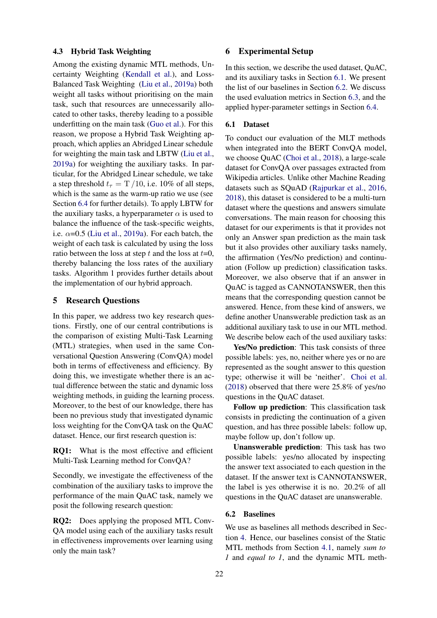#### <span id="page-5-1"></span>4.3 Hybrid Task Weighting

Among the existing dynamic MTL methods, Uncertainty Weighting [\(Kendall et al.\)](#page-8-5), and Loss-Balanced Task Weighting [\(Liu et al.,](#page-8-4) [2019a\)](#page-8-4) both weight all tasks without prioritising on the main task, such that resources are unnecessarily allocated to other tasks, thereby leading to a possible underfitting on the main task [\(Guo et al.\)](#page-8-14). For this reason, we propose a Hybrid Task Weighting approach, which applies an Abridged Linear schedule for weighting the main task and LBTW [\(Liu et al.,](#page-8-4) [2019a\)](#page-8-4) for weighting the auxiliary tasks. In particular, for the Abridged Linear schedule, we take a step threshold  $t_\tau = T/10$ , i.e. 10% of all steps, which is the same as the warm-up ratio we use (see Section [6.4](#page-6-0) for further details). To apply LBTW for the auxiliary tasks, a hyperparameter  $\alpha$  is used to balance the influence of the task-specific weights, i.e.  $\alpha$ =0.5 [\(Liu et al.,](#page-8-4) [2019a\)](#page-8-4). For each batch, the weight of each task is calculated by using the loss ratio between the loss at step t and the loss at  $t=0$ , thereby balancing the loss rates of the auxiliary tasks. Algorithm 1 provides further details about the implementation of our hybrid approach.

#### 5 Research Questions

In this paper, we address two key research questions. Firstly, one of our central contributions is the comparison of existing Multi-Task Learning (MTL) strategies, when used in the same Conversational Question Answering (ConvQA) model both in terms of effectiveness and efficiency. By doing this, we investigate whether there is an actual difference between the static and dynamic loss weighting methods, in guiding the learning process. Moreover, to the best of our knowledge, there has been no previous study that investigated dynamic loss weighting for the ConvQA task on the QuAC dataset. Hence, our first research question is:

RQ1: What is the most effective and efficient Multi-Task Learning method for ConvQA?

Secondly, we investigate the effectiveness of the combination of the auxiliary tasks to improve the performance of the main QuAC task, namely we posit the following research question:

RQ2: Does applying the proposed MTL Conv-QA model using each of the auxiliary tasks result in effectiveness improvements over learning using only the main task?

#### 6 Experimental Setup

In this section, we describe the used dataset, QuAC, and its auxiliary tasks in Section [6.1.](#page-5-0) We present the list of our baselines in Section [6.2.](#page-5-2) We discuss the used evaluation metrics in Section [6.3,](#page-6-1) and the applied hyper-parameter settings in Section [6.4.](#page-6-0)

# <span id="page-5-0"></span>6.1 Dataset

To conduct our evaluation of the MLT methods when integrated into the BERT ConvQA model, we choose QuAC [\(Choi et al.,](#page-8-2) [2018\)](#page-8-2), a large-scale dataset for ConvQA over passages extracted from Wikipedia articles. Unlike other Machine Reading datasets such as SQuAD [\(Rajpurkar et al.,](#page-8-15) [2016,](#page-8-15) [2018\)](#page-8-16), this dataset is considered to be a multi-turn dataset where the questions and answers simulate conversations. The main reason for choosing this dataset for our experiments is that it provides not only an Answer span prediction as the main task but it also provides other auxiliary tasks namely, the affirmation (Yes/No prediction) and continuation (Follow up prediction) classification tasks. Moreover, we also observe that if an answer in QuAC is tagged as CANNOTANSWER, then this means that the corresponding question cannot be answered. Hence, from these kind of answers, we define another Unanswerable prediction task as an additional auxiliary task to use in our MTL method. We describe below each of the used auxiliary tasks:

Yes/No prediction: This task consists of three possible labels: yes, no, neither where yes or no are represented as the sought answer to this question type; otherwise it will be 'neither'. [Choi et al.](#page-8-2) [\(2018\)](#page-8-2) observed that there were 25.8% of yes/no questions in the QuAC dataset.

Follow up prediction: This classification task consists in predicting the continuation of a given question, and has three possible labels: follow up, maybe follow up, don't follow up.

Unanswerable prediction: This task has two possible labels: yes/no allocated by inspecting the answer text associated to each question in the dataset. If the answer text is CANNOTANSWER, the label is yes otherwise it is no. 20.2% of all questions in the QuAC dataset are unanswerable.

#### <span id="page-5-2"></span>6.2 Baselines

We use as baselines all methods described in Section [4.](#page-3-3) Hence, our baselines consist of the Static MTL methods from Section [4.1,](#page-3-5) namely *sum to 1* and *equal to 1*, and the dynamic MTL meth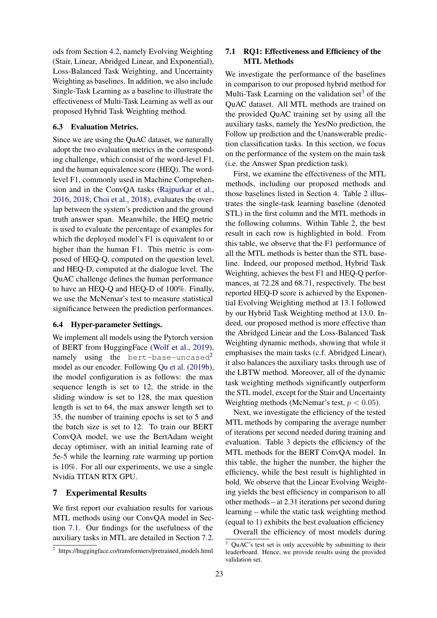ods from Section [4.2,](#page-4-0) namely Evolving Weighting (Stair, Linear, Abridged Linear, and Exponential), Loss-Balanced Task Weighting, and Uncertainty Weighting as baselines. In addition, we also include Single-Task Learning as a baseline to illustrate the effectiveness of Multi-Task Learning as well as our proposed Hybrid Task Weighting method.

#### <span id="page-6-1"></span>6.3 Evaluation Metrics.

Since we are using the QuAC dataset, we naturally adopt the two evaluation metrics in the corresponding challenge, which consist of the word-level F1, and the human equivalence score (HEQ). The wordlevel F1, commonly used in Machine Comprehension and in the ConvQA tasks [\(Rajpurkar et al.,](#page-8-15) [2016,](#page-8-15) [2018;](#page-8-16) [Choi et al.,](#page-8-2) [2018\)](#page-8-2), evaluates the overlap between the system's prediction and the ground truth answer span. Meanwhile, the HEQ metric is used to evaluate the percentage of examples for which the deployed model's F1 is equivalent to or higher than the human F1. This metric is composed of HEQ-Q, computed on the question level, and HEQ-D, computed at the dialogue level. The QuAC challenge defines the human performance to have an HEQ-Q and HEQ-D of 100%. Finally, we use the McNemar's test to measure statistical significance between the prediction performances.

### <span id="page-6-0"></span>6.4 Hyper-parameter Settings.

We implement all models using the Pytorch version of BERT from HuggingFace [\(Wolf et al.,](#page-9-6) [2019\)](#page-9-6), namely using the bert-base-uncased<sup>[2](#page-0-0)</sup> model as our encoder. Following [Qu et al.](#page-8-3) [\(2019b\)](#page-8-3), the model configuration is as follows: the max sequence length is set to 12, the stride in the sliding window is set to 128, the max question length is set to 64, the max answer length set to 35, the number of training epochs is set to 5 and the batch size is set to 12. To train our BERT ConvQA model, we use the BertAdam weight decay optimiser, with an initial learning rate of 5e-5 while the learning rate warming up portion is 10%. For all our experiments, we use a single Nvidia TITAN RTX GPU.

#### 7 Experimental Results

We first report our evaluation results for various MTL methods using our ConvQA model in Section [7.1.](#page-6-2) Our findings for the usefulness of the auxiliary tasks in MTL are detailed in Section [7.2.](#page-7-0)

# <span id="page-6-2"></span>7.1 RQ1: Effectiveness and Efficiency of the MTL Methods

We investigate the performance of the baselines in comparison to our proposed hybrid method for Multi-Task Learning on the validation set<sup>[3](#page-0-0)</sup> of the QuAC dataset. All MTL methods are trained on the provided QuAC training set by using all the auxiliary tasks, namely the Yes/No prediction, the Follow up prediction and the Unanswerable prediction classification tasks. In this section, we focus on the performance of the system on the main task (i.e. the Answer Span prediction task).

First, we examine the effectiveness of the MTL methods, including our proposed methods and those baselines listed in Section [4.](#page-3-3) Table [2](#page-7-1) illustrates the single-task learning baseline (denoted STL) in the first column and the MTL methods in the following columns. Within Table [2,](#page-7-1) the best result in each row is highlighted in bold. From this table, we observe that the F1 performance of all the MTL methods is better than the STL baseline. Indeed, our proposed method, Hybrid Task Weighting, achieves the best F1 and HEQ-Q performances, at 72.28 and 68.71, respectively. The best reported HEQ-D score is achieved by the Exponential Evolving Weighting method at 13.1 followed by our Hybrid Task Weighting method at 13.0. Indeed, our proposed method is more effective than the Abridged Linear and the Loss-Balanced Task Weighting dynamic methods, showing that while it emphasises the main tasks (c.f. Abridged Linear), it also balances the auxiliary tasks through use of the LBTW method. Moreover, all of the dynamic task weighting methods significantly outperform the STL model, except for the Stair and Uncertainty Weighting methods (McNemar's test,  $p < 0.05$ ).

Next, we investigate the efficiency of the tested MTL methods by comparing the average number of iterations per second needed during training and evaluation. Table [3](#page-7-2) depicts the efficiency of the MTL methods for the BERT ConvQA model. In this table, the higher the number, the higher the efficiency, while the best result is highlighted in bold. We observe that the Linear Evolving Weighting yields the best efficiency in comparison to all other methods – at 2.31 iterations per second during learning – while the static task weighting method (equal to 1) exhibits the best evaluation efficiency

Overall the efficiency of most models during

<sup>&</sup>lt;sup>2</sup> https://huggingface.co/transformers/pretrained\_models.html

<sup>3</sup> QuAC's test set is only accessible by submitting to their leaderboard. Hence, we provide results using the provided validation set.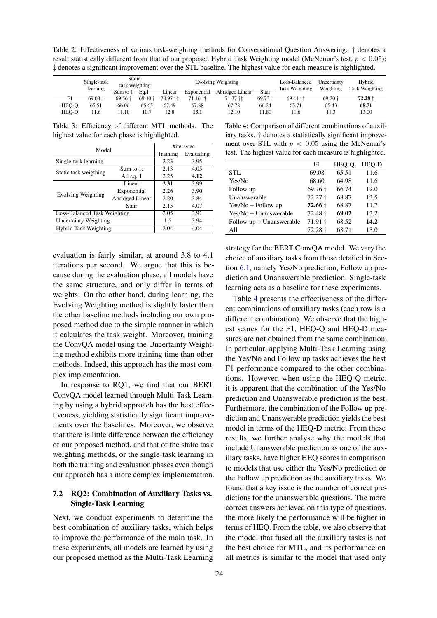<span id="page-7-1"></span>Table 2: Effectiveness of various task-weighting methods for Conversational Question Answering. † denotes a result statistically different from that of our proposed Hybrid Task Weighting model (McNemar's test,  $p < 0.05$ ); ‡ denotes a significant improvement over the STL baseline. The highest value for each measure is highlighted.

|       | Single-task<br>learning | Static<br>task weighting |                    | <b>Evolving Weighting</b> |             |                 |           | Loss-Balanced<br>Task Weighting | Uncertainty<br>Weighting | Hybrid<br>Task Weighting |
|-------|-------------------------|--------------------------|--------------------|---------------------------|-------------|-----------------|-----------|---------------------------------|--------------------------|--------------------------|
|       |                         | Sum to 1                 | Ea.1               | Linear                    | Exponential | Abridged Linear | Stair     |                                 |                          |                          |
| F1    | $69.08 \text{ +}$       | $69.56 \text{ +}$        | $69.40 \text{ }^+$ | 70.97 <sup>+</sup> t      | 71.16 †‡    | 71.37 † 1       | $69.73 +$ | $69.41$ † $\ddagger$            | $69.20 \text{ }^{\circ}$ | 72.28 ±                  |
| HEO-O | 65.51                   | 66.06                    | 65.65              | 67.49                     | 67.88       | 67.78           | 66.24     | 65.71                           | 65.43                    | 68.71                    |
| HEO-D | 11.6                    | 11.10                    | 10.7               | 12.8                      | 13.1        | 12.10           | 11.80     | 11.6                            | 11.3                     | 13.00                    |

<span id="page-7-2"></span>Table 3: Efficiency of different MTL methods. The highest value for each phase is highlighted.

| Model                        |      |                                               |  |
|------------------------------|------|-----------------------------------------------|--|
|                              |      |                                               |  |
|                              | 2.23 | 3.95                                          |  |
| Sum to 1.                    | 2.13 | 4.05                                          |  |
| All eq. 1                    | 2.25 | 4.12                                          |  |
| Linear                       | 2.31 | 3.99                                          |  |
| Exponential                  | 2.26 | 3.90                                          |  |
| Abridged Linear              | 2.20 | 3.84                                          |  |
| Stair                        | 2.15 | 4.07                                          |  |
| Loss-Balanced Task Weighting |      |                                               |  |
| <b>Uncertainty Weighting</b> |      |                                               |  |
| Hybrid Task Weighting        |      |                                               |  |
|                              |      | #iters/sec<br>Training<br>2.05<br>1.5<br>2.04 |  |

evaluation is fairly similar, at around 3.8 to 4.1 iterations per second. We argue that this is because during the evaluation phase, all models have the same structure, and only differ in terms of weights. On the other hand, during learning, the Evolving Weighting method is slightly faster than the other baseline methods including our own proposed method due to the simple manner in which it calculates the task weight. Moreover, training the ConvQA model using the Uncertainty Weighting method exhibits more training time than other methods. Indeed, this approach has the most complex implementation.

In response to RQ1, we find that our BERT ConvQA model learned through Multi-Task Learning by using a hybrid approach has the best effectiveness, yielding statistically significant improvements over the baselines. Moreover, we observe that there is little difference between the efficiency of our proposed method, and that of the static task weighting methods, or the single-task learning in both the training and evaluation phases even though our approach has a more complex implementation.

### <span id="page-7-0"></span>7.2 RQ2: Combination of Auxiliary Tasks vs. Single-Task Learning

Next, we conduct experiments to determine the best combination of auxiliary tasks, which helps to improve the performance of the main task. In these experiments, all models are learned by using our proposed method as the Multi-Task Learning

<span id="page-7-3"></span>Table 4: Comparison of different combinations of auxiliary tasks. † denotes a statistically significant improvement over STL with  $p < 0.05$  using the McNemar's test. The highest value for each measure is highlighted.

|                          | F1                  | HEO-O | HEO-D |
|--------------------------|---------------------|-------|-------|
| <b>STL</b>               | 69.08               | 65.51 | 11.6  |
| Yes/No                   | 68.60               | 64.98 | 11.6  |
| Follow up                | $69.76 \text{ }$    | 66.74 | 12.0  |
| Unanswerable             | $72.27 +$           | 68.87 | 13.5  |
| Yes/No + Follow up       | $72.66 \;{\rm{^+}}$ | 68.87 | 11.7  |
| Yes/No + Unanswerable    | $72.48 \text{ +}$   | 69.02 | 13.2  |
| Follow up + Unanswerable | $71.91 \text{ }$    | 68.52 | 14.2  |
| All                      | $72.28 \text{ }^+$  | 68.71 | 13.0  |
|                          |                     |       |       |

strategy for the BERT ConvQA model. We vary the choice of auxiliary tasks from those detailed in Section [6.1,](#page-5-0) namely Yes/No prediction, Follow up prediction and Unanswerable prediction. Single-task learning acts as a baseline for these experiments.

Table [4](#page-7-3) presents the effectiveness of the different combinations of auxiliary tasks (each row is a different combination). We observe that the highest scores for the F1, HEQ-Q and HEQ-D measures are not obtained from the same combination. In particular, applying Multi-Task Learning using the Yes/No and Follow up tasks achieves the best F1 performance compared to the other combinations. However, when using the HEQ-Q metric, it is apparent that the combination of the Yes/No prediction and Unanswerable prediction is the best. Furthermore, the combination of the Follow up prediction and Unanswerable prediction yields the best model in terms of the HEQ-D metric. From these results, we further analyse why the models that include Unanswerable prediction as one of the auxiliary tasks, have higher HEQ scores in comparison to models that use either the Yes/No prediction or the Follow up prediction as the auxiliary tasks. We found that a key issue is the number of correct predictions for the unanswerable questions. The more correct answers achieved on this type of questions, the more likely the performance will be higher in terms of HEQ. From the table, we also observe that the model that fused all the auxiliary tasks is not the best choice for MTL, and its performance on all metrics is similar to the model that used only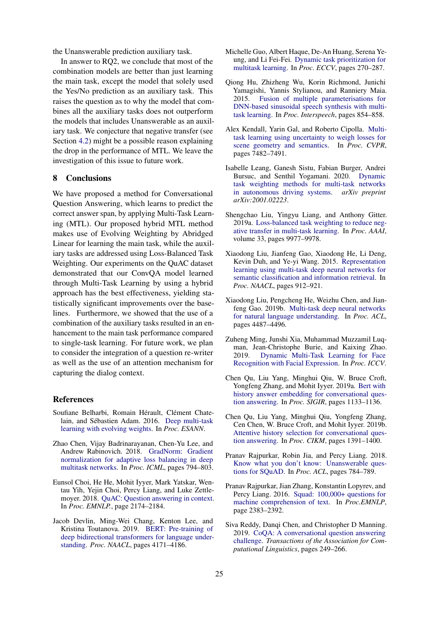the Unanswerable prediction auxiliary task.

In answer to RQ2, we conclude that most of the combination models are better than just learning the main task, except the model that solely used the Yes/No prediction as an auxiliary task. This raises the question as to why the model that combines all the auxiliary tasks does not outperform the models that includes Unanswerable as an auxiliary task. We conjecture that negative transfer (see Section [4.2\)](#page-4-0) might be a possible reason explaining the drop in the performance of MTL. We leave the investigation of this issue to future work.

#### 8 Conclusions

We have proposed a method for Conversational Question Answering, which learns to predict the correct answer span, by applying Multi-Task Learning (MTL). Our proposed hybrid MTL method makes use of Evolving Weighting by Abridged Linear for learning the main task, while the auxiliary tasks are addressed using Loss-Balanced Task Weighting. Our experiments on the QuAC dataset demonstrated that our ConvQA model learned through Multi-Task Learning by using a hybrid approach has the best effectiveness, yielding statistically significant improvements over the baselines. Furthermore, we showed that the use of a combination of the auxiliary tasks resulted in an enhancement to the main task performance compared to single-task learning. For future work, we plan to consider the integration of a question re-writer as well as the use of an attention mechanism for capturing the dialog context.

#### References

- <span id="page-8-11"></span>Soufiane Belharbi, Romain Hérault, Clément Chate-lain, and Sébastien Adam. 2016. [Deep multi-task](https://www.elen.ucl.ac.be/Proceedings/esann/esannpdf/es2016-87.pdf) [learning with evolving weights.](https://www.elen.ucl.ac.be/Proceedings/esann/esannpdf/es2016-87.pdf) In *Proc. ESANN*.
- <span id="page-8-12"></span>Zhao Chen, Vijay Badrinarayanan, Chen-Yu Lee, and Andrew Rabinovich. 2018. [GradNorm: Gradient](https://arxiv.org/abs/1711.02257) [normalization for adaptive loss balancing in deep](https://arxiv.org/abs/1711.02257) [multitask networks.](https://arxiv.org/abs/1711.02257) In *Proc. ICML*, pages 794–803.
- <span id="page-8-2"></span>Eunsol Choi, He He, Mohit Iyyer, Mark Yatskar, Wentau Yih, Yejin Choi, Percy Liang, and Luke Zettlemoyer. 2018. [QuAC: Question answering in context.](https://arxiv.org/pdf/1808.07036.pdf) In *Proc. EMNLP.*, page 2174–2184.
- <span id="page-8-0"></span>Jacob Devlin, Ming-Wei Chang, Kenton Lee, and Kristina Toutanova. 2019. [BERT: Pre-training of](https://doi.org/10.18653/v1/n19-1423) [deep bidirectional transformers for language under](https://doi.org/10.18653/v1/n19-1423)[standing.](https://doi.org/10.18653/v1/n19-1423) *Proc. NAACL*, pages 4171–4186.
- <span id="page-8-14"></span>Michelle Guo, Albert Haque, De-An Huang, Serena Yeung, and Li Fei-Fei. [Dynamic task prioritization for](https://link.springer.com/chapter/10.1007/978-3-030-01270-0_17) [multitask learning.](https://link.springer.com/chapter/10.1007/978-3-030-01270-0_17) In *Proc. ECCV*, pages 270–287.
- <span id="page-8-8"></span>Qiong Hu, Zhizheng Wu, Korin Richmond, Junichi Yamagishi, Yannis Stylianou, and Ranniery Maia. 2015. [Fusion of multiple parameterisations for](https://www.isca-speech.org/archive/interspeech_2015/i15_0854.html) [DNN-based sinusoidal speech synthesis with multi](https://www.isca-speech.org/archive/interspeech_2015/i15_0854.html)[task learning.](https://www.isca-speech.org/archive/interspeech_2015/i15_0854.html) In *Proc. Interspeech*, pages 854–858.
- <span id="page-8-5"></span>Alex Kendall, Yarin Gal, and Roberto Cipolla. [Multi](https://arxiv.org/abs/1705.07115)[task learning using uncertainty to weigh losses for](https://arxiv.org/abs/1705.07115) [scene geometry and semantics.](https://arxiv.org/abs/1705.07115) In *Proc. CVPR*, pages 7482–7491.
- <span id="page-8-9"></span>Isabelle Leang, Ganesh Sistu, Fabian Burger, Andrei Bursuc, and Senthil Yogamani. 2020. [Dynamic](https://arxiv.org/abs/2001.02223) [task weighting methods for multi-task networks](https://arxiv.org/abs/2001.02223) [in autonomous driving systems.](https://arxiv.org/abs/2001.02223) *arXiv preprint arXiv:2001.02223*.
- <span id="page-8-4"></span>Shengchao Liu, Yingyu Liang, and Anthony Gitter. 2019a. [Loss-balanced task weighting to reduce neg](https://www.aaai.org/ojs/index.php/AAAI/article/view/5125)[ative transfer in multi-task learning.](https://www.aaai.org/ojs/index.php/AAAI/article/view/5125) In *Proc. AAAI*, volume 33, pages 9977–9978.
- <span id="page-8-6"></span>Xiaodong Liu, Jianfeng Gao, Xiaodong He, Li Deng, Kevin Duh, and Ye-yi Wang. 2015. [Representation](https://doi.org/10.3115/v1/N15-1092) [learning using multi-task deep neural networks for](https://doi.org/10.3115/v1/N15-1092) [semantic classification and information retrieval.](https://doi.org/10.3115/v1/N15-1092) In *Proc. NAACL*, pages 912–921.
- <span id="page-8-7"></span>Xiaodong Liu, Pengcheng He, Weizhu Chen, and Jianfeng Gao. 2019b. [Multi-task deep neural networks](https://doi.org/10.18653/v1/P19-1441) [for natural language understanding.](https://doi.org/10.18653/v1/P19-1441) In *Proc. ACL*, pages 4487–4496.
- <span id="page-8-10"></span>Zuheng Ming, Junshi Xia, Muhammad Muzzamil Luqman, Jean-Christophe Burie, and Kaixing Zhao. 2019. [Dynamic Multi-Task Learning for Face](https://hal.archives-ouvertes.fr/hal-02889907) [Recognition with Facial Expression.](https://hal.archives-ouvertes.fr/hal-02889907) In *Proc. ICCV*.
- <span id="page-8-13"></span>Chen Qu, Liu Yang, Minghui Qiu, W. Bruce Croft, Yongfeng Zhang, and Mohit Iyyer. 2019a. [Bert with](https://arxiv.org/abs/1905.05412) [history answer embedding for conversational ques](https://arxiv.org/abs/1905.05412)[tion answering.](https://arxiv.org/abs/1905.05412) In *Proc. SIGIR*, pages 1133–1136.
- <span id="page-8-3"></span>Chen Qu, Liu Yang, Minghui Qiu, Yongfeng Zhang, Cen Chen, W. Bruce Croft, and Mohit Iyyer. 2019b. [Attentive history selection for conversational ques](https://arxiv.org/abs/1908.09456)[tion answering.](https://arxiv.org/abs/1908.09456) In *Proc. CIKM*, pages 1391–1400.
- <span id="page-8-16"></span>Pranav Rajpurkar, Robin Jia, and Percy Liang. 2018. [Know what you don't know: Unanswerable ques](https://doi.org/10.18653/v1/P18-2124)[tions for SQuAD.](https://doi.org/10.18653/v1/P18-2124) In *Proc. ACL*, pages 784–789.
- <span id="page-8-15"></span>Pranav Rajpurkar, Jian Zhang, Konstantin Lopyrev, and Percy Liang. 2016. [Squad: 100,000+ questions for](https://arxiv.org/pdf/1606.05250.pdf) [machine comprehension of text.](https://arxiv.org/pdf/1606.05250.pdf) In *Proc.EMNLP*, page 2383–2392.
- <span id="page-8-1"></span>Siva Reddy, Danqi Chen, and Christopher D Manning. 2019. [CoQA: A conversational question answering](https://arxiv.org/abs/1808.07042) [challenge.](https://arxiv.org/abs/1808.07042) *Transactions of the Association for Computational Linguistics*, pages 249–266.